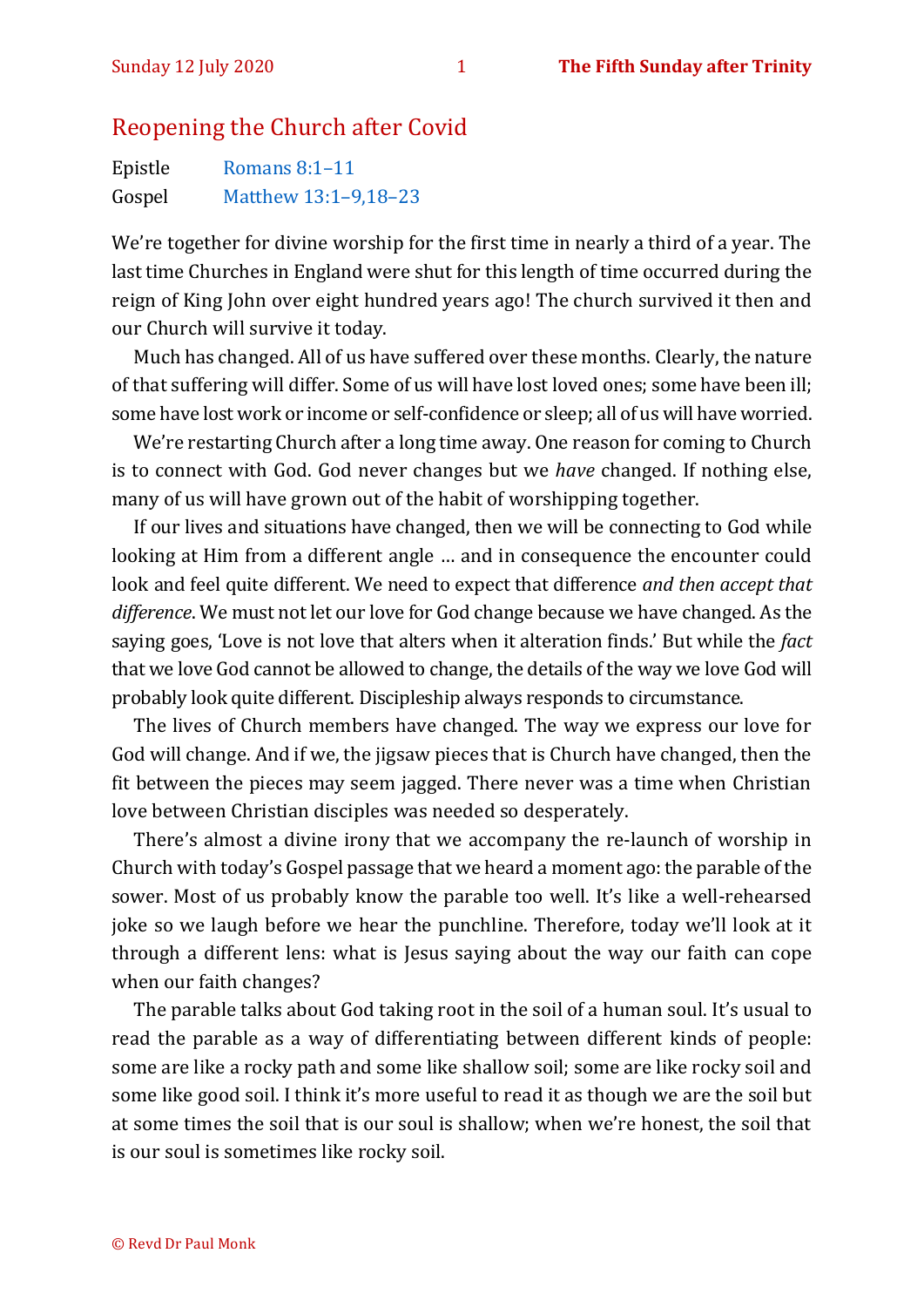## Reopening the Church after Covid

| Epistle | Romans $8:1-11$      |
|---------|----------------------|
| Gospel  | Matthew 13:1-9,18-23 |

We're together for divine worship for the first time in nearly a third of a year. The last time Churches in England were shut for this length of time occurred during the reign of King John over eight hundred years ago! The church survived it then and our Church will survive it today.

Much has changed. All of us have suffered over these months. Clearly, the nature of that suffering will differ. Some of us will have lost loved ones; some have been ill; some have lost work or income or self-confidence or sleep; all of us will have worried.

We're restarting Church after a long time away. One reason for coming to Church is to connect with God. God never changes but we *have* changed. If nothing else, many of us will have grown out of the habit of worshipping together.

If our lives and situations have changed, then we will be connecting to God while looking at Him from a different angle … and in consequence the encounter could look and feel quite different. We need to expect that difference *and then accept that difference*. We must not let our love for God change because we have changed. As the saying goes, 'Love is not love that alters when it alteration finds.' But while the *fact* that we love God cannot be allowed to change, the details of the way we love God will probably look quite different. Discipleship always responds to circumstance.

The lives of Church members have changed. The way we express our love for God will change. And if we, the jigsaw pieces that is Church have changed, then the fit between the pieces may seem jagged. There never was a time when Christian love between Christian disciples was needed so desperately.

There's almost a divine irony that we accompany the re-launch of worship in Church with today's Gospel passage that we heard a moment ago: the parable of the sower. Most of us probably know the parable too well. It's like a well-rehearsed joke so we laugh before we hear the punchline. Therefore, today we'll look at it through a different lens: what is Jesus saying about the way our faith can cope when our faith changes?

The parable talks about God taking root in the soil of a human soul. It's usual to read the parable as a way of differentiating between different kinds of people: some are like a rocky path and some like shallow soil; some are like rocky soil and some like good soil. I think it's more useful to read it as though we are the soil but at some times the soil that is our soul is shallow; when we're honest, the soil that is our soul is sometimes like rocky soil.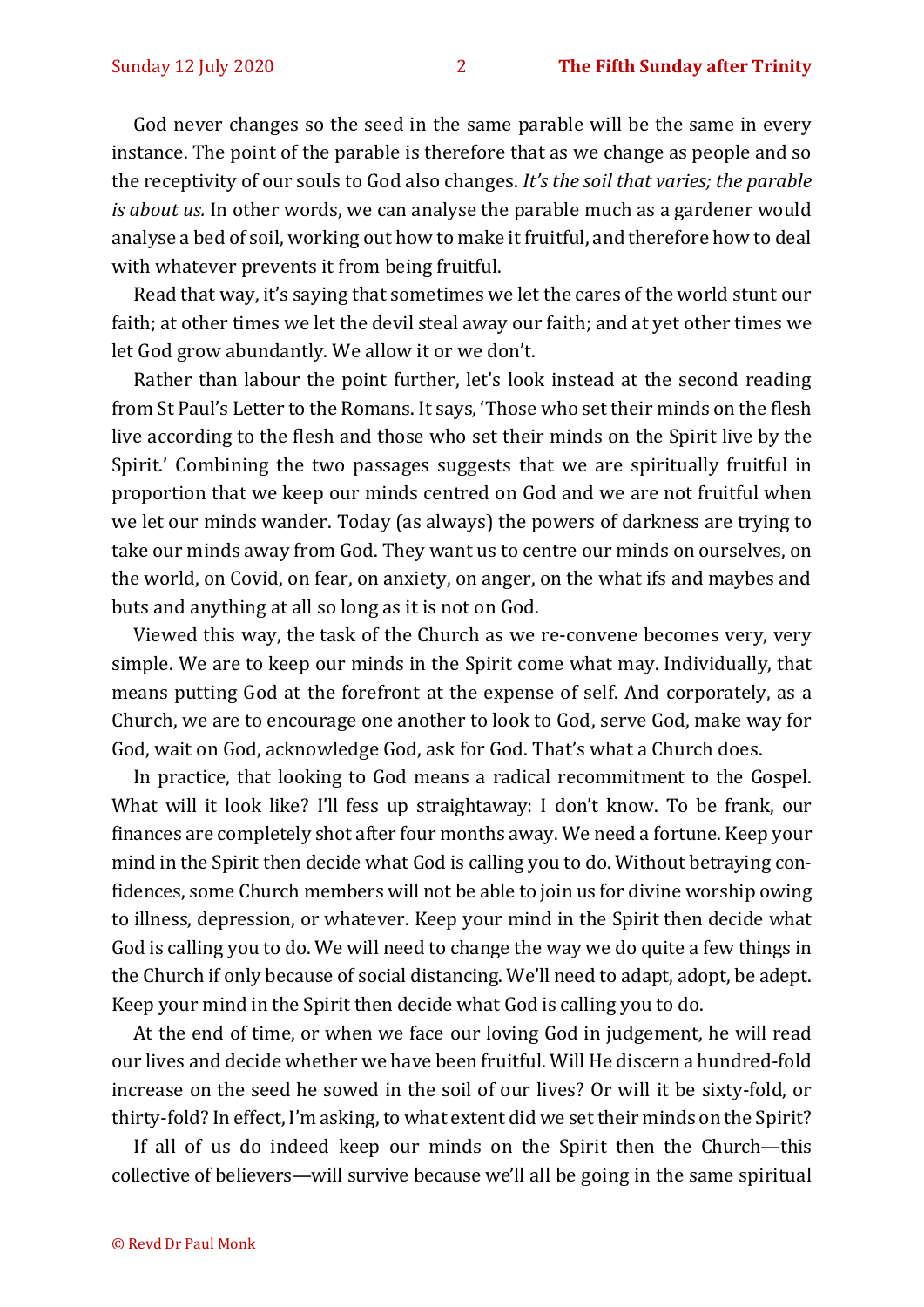God never changes so the seed in the same parable will be the same in every instance. The point of the parable is therefore that as we change as people and so the receptivity of our souls to God also changes. *It's the soil that varies; the parable is about us.* In other words, we can analyse the parable much as a gardener would analyse a bed of soil, working out how to make it fruitful, and therefore how to deal with whatever prevents it from being fruitful.

Read that way, it's saying that sometimes we let the cares of the world stunt our faith; at other times we let the devil steal away our faith; and at yet other times we let God grow abundantly. We allow it or we don't.

Rather than labour the point further, let's look instead at the second reading from St Paul's Letter to the Romans. It says, 'Those who set their minds on the flesh live according to the flesh and those who set their minds on the Spirit live by the Spirit.' Combining the two passages suggests that we are spiritually fruitful in proportion that we keep our minds centred on God and we are not fruitful when we let our minds wander. Today (as always) the powers of darkness are trying to take our minds away from God. They want us to centre our minds on ourselves, on the world, on Covid, on fear, on anxiety, on anger, on the what ifs and maybes and buts and anything at all so long as it is not on God.

Viewed this way, the task of the Church as we re-convene becomes very, very simple. We are to keep our minds in the Spirit come what may. Individually, that means putting God at the forefront at the expense of self. And corporately, as a Church, we are to encourage one another to look to God, serve God, make way for God, wait on God, acknowledge God, ask for God. That's what a Church does.

In practice, that looking to God means a radical recommitment to the Gospel. What will it look like? I'll fess up straightaway: I don't know. To be frank, our finances are completely shot after four months away. We need a fortune. Keep your mind in the Spirit then decide what God is calling you to do. Without betraying confidences, some Church members will not be able to join us for divine worship owing to illness, depression, or whatever. Keep your mind in the Spirit then decide what God is calling you to do. We will need to change the way we do quite a few things in the Church if only because of social distancing. We'll need to adapt, adopt, be adept. Keep your mind in the Spirit then decide what God is calling you to do.

At the end of time, or when we face our loving God in judgement, he will read our lives and decide whether we have been fruitful. Will He discern a hundred-fold increase on the seed he sowed in the soil of our lives? Or will it be sixty-fold, or thirty-fold? In effect, I'm asking, to what extent did we set their minds on the Spirit?

If all of us do indeed keep our minds on the Spirit then the Church—this collective of believers—will survive because we'll all be going in the same spiritual